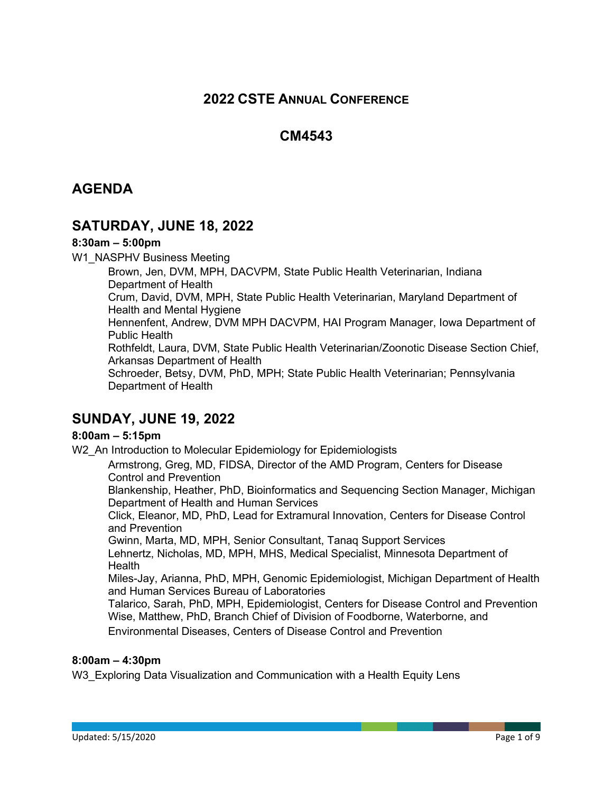# **2022 CSTE ANNUAL CONFERENCE**

# **CM4543**

# **AGENDA**

# **SATURDAY, JUNE 18, 2022**

### **8:30am – 5:00pm**

W1\_NASPHV Business Meeting

Brown, Jen, DVM, MPH, DACVPM, State Public Health Veterinarian, Indiana Department of Health Crum, David, DVM, MPH, State Public Health Veterinarian, Maryland Department of Health and Mental Hygiene Hennenfent, Andrew, DVM MPH DACVPM, HAI Program Manager, Iowa Department of Public Health Rothfeldt, Laura, DVM, State Public Health Veterinarian/Zoonotic Disease Section Chief, Arkansas Department of Health Schroeder, Betsy, DVM, PhD, MPH; State Public Health Veterinarian; Pennsylvania Department of Health

# **SUNDAY, JUNE 19, 2022**

### **8:00am – 5:15pm**

W<sub>2</sub> An Introduction to Molecular Epidemiology for Epidemiologists

Armstrong, Greg, MD, FIDSA, Director of the AMD Program, Centers for Disease Control and Prevention

Blankenship, Heather, PhD, Bioinformatics and Sequencing Section Manager, Michigan Department of Health and Human Services

Click, Eleanor, MD, PhD, Lead for Extramural Innovation, Centers for Disease Control and Prevention

Gwinn, Marta, MD, MPH, Senior Consultant, Tanaq Support Services

Lehnertz, Nicholas, MD, MPH, MHS, Medical Specialist, Minnesota Department of Health

Miles-Jay, Arianna, PhD, MPH, Genomic Epidemiologist, Michigan Department of Health and Human Services Bureau of Laboratories

Talarico, Sarah, PhD, MPH, Epidemiologist, Centers for Disease Control and Prevention Wise, Matthew, PhD, Branch Chief of Division of Foodborne, Waterborne, and

Environmental Diseases, Centers of Disease Control and Prevention

#### **8:00am – 4:30pm**

W3 Exploring Data Visualization and Communication with a Health Equity Lens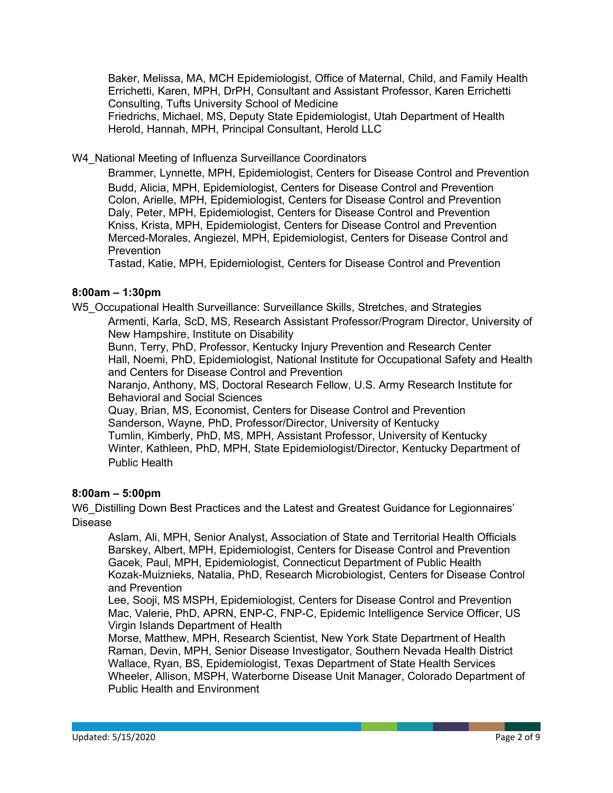Baker, Melissa, MA, MCH Epidemiologist, Office of Maternal, Child, and Family Health Errichetti, Karen, MPH, DrPH, Consultant and Assistant Professor, Karen Errichetti Consulting, Tufts University School of Medicine Friedrichs, Michael, MS, Deputy State Epidemiologist, Utah Department of Health Herold, Hannah, MPH, Principal Consultant, Herold LLC

W4 National Meeting of Influenza Surveillance Coordinators

Brammer, Lynnette, MPH, Epidemiologist, Centers for Disease Control and Prevention Budd, Alicia, MPH, Epidemiologist, Centers for Disease Control and Prevention Colon, Arielle, MPH, Epidemiologist, Centers for Disease Control and Prevention Daly, Peter, MPH, Epidemiologist, Centers for Disease Control and Prevention Kniss, Krista, MPH, Epidemiologist, Centers for Disease Control and Prevention Merced-Morales, Angiezel, MPH, Epidemiologist, Centers for Disease Control and **Prevention** 

Tastad, Katie, MPH, Epidemiologist, Centers for Disease Control and Prevention

### **8:00am – 1:30pm**

W5\_Occupational Health Surveillance: Surveillance Skills, Stretches, and Strategies

Armenti, Karla, ScD, MS, Research Assistant Professor/Program Director, University of New Hampshire, Institute on Disability

Bunn, Terry, PhD, Professor, Kentucky Injury Prevention and Research Center Hall, Noemi, PhD, Epidemiologist, National Institute for Occupational Safety and Health and Centers for Disease Control and Prevention

Naranjo, Anthony, MS, Doctoral Research Fellow, U.S. Army Research Institute for Behavioral and Social Sciences

Quay, Brian, MS, Economist, Centers for Disease Control and Prevention Sanderson, Wayne, PhD, Professor/Director, University of Kentucky Tumlin, Kimberly, PhD, MS, MPH, Assistant Professor, University of Kentucky Winter, Kathleen, PhD, MPH, State Epidemiologist/Director, Kentucky Department of Public Health

### **8:00am – 5:00pm**

W6 Distilling Down Best Practices and the Latest and Greatest Guidance for Legionnaires' Disease

Aslam, Ali, MPH, Senior Analyst, Association of State and Territorial Health Officials Barskey, Albert, MPH, Epidemiologist, Centers for Disease Control and Prevention Gacek, Paul, MPH, Epidemiologist, Connecticut Department of Public Health Kozak-Muiznieks, Natalia, PhD, Research Microbiologist, Centers for Disease Control and Prevention

Lee, Sooji, MS MSPH, Epidemiologist, Centers for Disease Control and Prevention Mac, Valerie, PhD, APRN, ENP-C, FNP-C, Epidemic Intelligence Service Officer, US Virgin Islands Department of Health

Morse, Matthew, MPH, Research Scientist, New York State Department of Health Raman, Devin, MPH, Senior Disease Investigator, Southern Nevada Health District Wallace, Ryan, BS, Epidemiologist, Texas Department of State Health Services Wheeler, Allison, MSPH, Waterborne Disease Unit Manager, Colorado Department of Public Health and Environment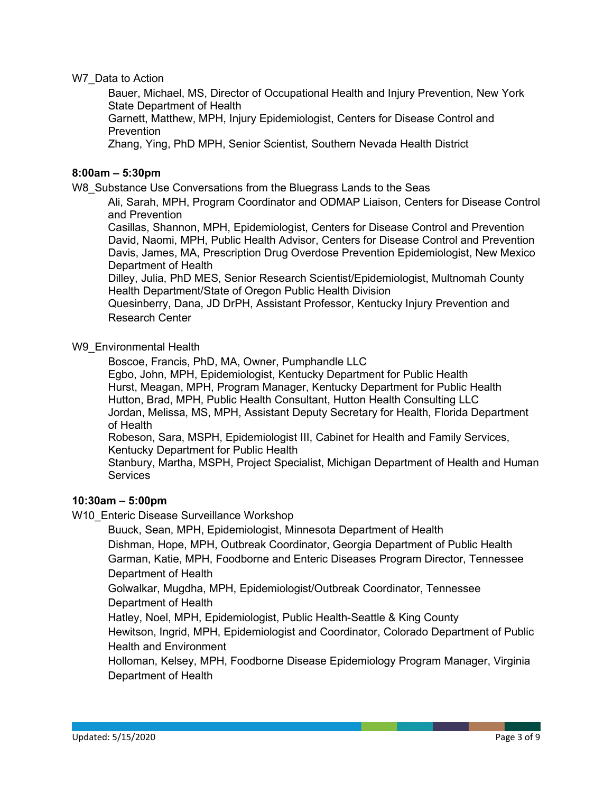W7 Data to Action

Bauer, Michael, MS, Director of Occupational Health and Injury Prevention, New York State Department of Health

Garnett, Matthew, MPH, Injury Epidemiologist, Centers for Disease Control and **Prevention** 

Zhang, Ying, PhD MPH, Senior Scientist, Southern Nevada Health District

#### **8:00am – 5:30pm**

W8 Substance Use Conversations from the Bluegrass Lands to the Seas

Ali, Sarah, MPH, Program Coordinator and ODMAP Liaison, Centers for Disease Control and Prevention

Casillas, Shannon, MPH, Epidemiologist, Centers for Disease Control and Prevention David, Naomi, MPH, Public Health Advisor, Centers for Disease Control and Prevention Davis, James, MA, Prescription Drug Overdose Prevention Epidemiologist, New Mexico Department of Health

Dilley, Julia, PhD MES, Senior Research Scientist/Epidemiologist, Multnomah County Health Department/State of Oregon Public Health Division

Quesinberry, Dana, JD DrPH, Assistant Professor, Kentucky Injury Prevention and Research Center

#### W9 Environmental Health

Boscoe, Francis, PhD, MA, Owner, Pumphandle LLC

Egbo, John, MPH, Epidemiologist, Kentucky Department for Public Health Hurst, Meagan, MPH, Program Manager, Kentucky Department for Public Health Hutton, Brad, MPH, Public Health Consultant, Hutton Health Consulting LLC Jordan, Melissa, MS, MPH, Assistant Deputy Secretary for Health, Florida Department of Health

Robeson, Sara, MSPH, Epidemiologist III, Cabinet for Health and Family Services, Kentucky Department for Public Health

Stanbury, Martha, MSPH, Project Specialist, Michigan Department of Health and Human **Services** 

### **10:30am – 5:00pm**

W10 Enteric Disease Surveillance Workshop

Buuck, Sean, MPH, Epidemiologist, Minnesota Department of Health Dishman, Hope, MPH, Outbreak Coordinator, Georgia Department of Public Health

Garman, Katie, MPH, Foodborne and Enteric Diseases Program Director, Tennessee Department of Health

Golwalkar, Mugdha, MPH, Epidemiologist/Outbreak Coordinator, Tennessee Department of Health

Hatley, Noel, MPH, Epidemiologist, Public Health-Seattle & King County

Hewitson, Ingrid, MPH, Epidemiologist and Coordinator, Colorado Department of Public Health and Environment

Holloman, Kelsey, MPH, Foodborne Disease Epidemiology Program Manager, Virginia Department of Health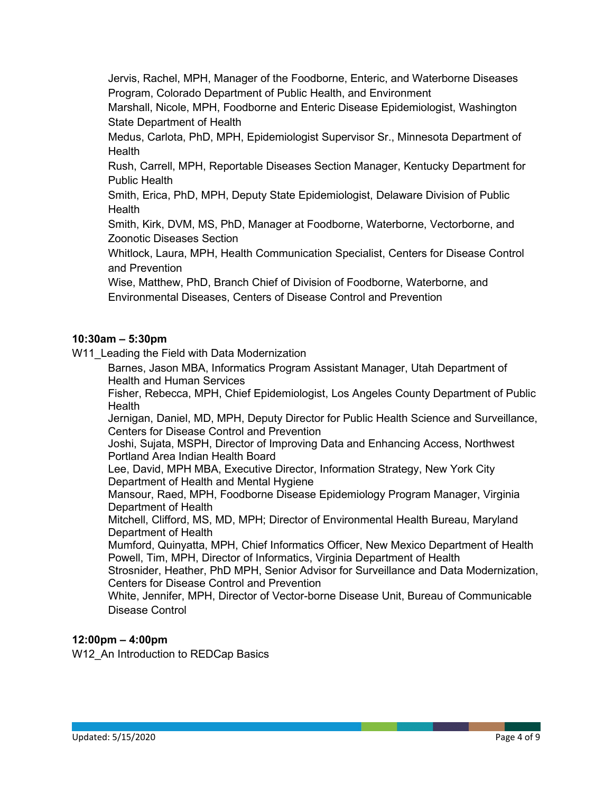Jervis, Rachel, MPH, Manager of the Foodborne, Enteric, and Waterborne Diseases Program, Colorado Department of Public Health, and Environment

Marshall, Nicole, MPH, Foodborne and Enteric Disease Epidemiologist, Washington State Department of Health

Medus, Carlota, PhD, MPH, Epidemiologist Supervisor Sr., Minnesota Department of Health

Rush, Carrell, MPH, Reportable Diseases Section Manager, Kentucky Department for Public Health

Smith, Erica, PhD, MPH, Deputy State Epidemiologist, Delaware Division of Public **Health** 

Smith, Kirk, DVM, MS, PhD, Manager at Foodborne, Waterborne, Vectorborne, and Zoonotic Diseases Section

Whitlock, Laura, MPH, Health Communication Specialist, Centers for Disease Control and Prevention

Wise, Matthew, PhD, Branch Chief of Division of Foodborne, Waterborne, and Environmental Diseases, Centers of Disease Control and Prevention

### **10:30am – 5:30pm**

W11 Leading the Field with Data Modernization

Barnes, Jason MBA, Informatics Program Assistant Manager, Utah Department of Health and Human Services

Fisher, Rebecca, MPH, Chief Epidemiologist, Los Angeles County Department of Public **Health** 

Jernigan, Daniel, MD, MPH, Deputy Director for Public Health Science and Surveillance, Centers for Disease Control and Prevention

Joshi, Sujata, MSPH, Director of Improving Data and Enhancing Access, Northwest Portland Area Indian Health Board

Lee, David, MPH MBA, Executive Director, Information Strategy, New York City Department of Health and Mental Hygiene

Mansour, Raed, MPH, Foodborne Disease Epidemiology Program Manager, Virginia Department of Health

Mitchell, Clifford, MS, MD, MPH; Director of Environmental Health Bureau, Maryland Department of Health

Mumford, Quinyatta, MPH, Chief Informatics Officer, New Mexico Department of Health Powell, Tim, MPH, Director of Informatics, Virginia Department of Health

Strosnider, Heather, PhD MPH, Senior Advisor for Surveillance and Data Modernization, Centers for Disease Control and Prevention

White, Jennifer, MPH, Director of Vector-borne Disease Unit, Bureau of Communicable Disease Control

### **12:00pm – 4:00pm**

W12 An Introduction to REDCap Basics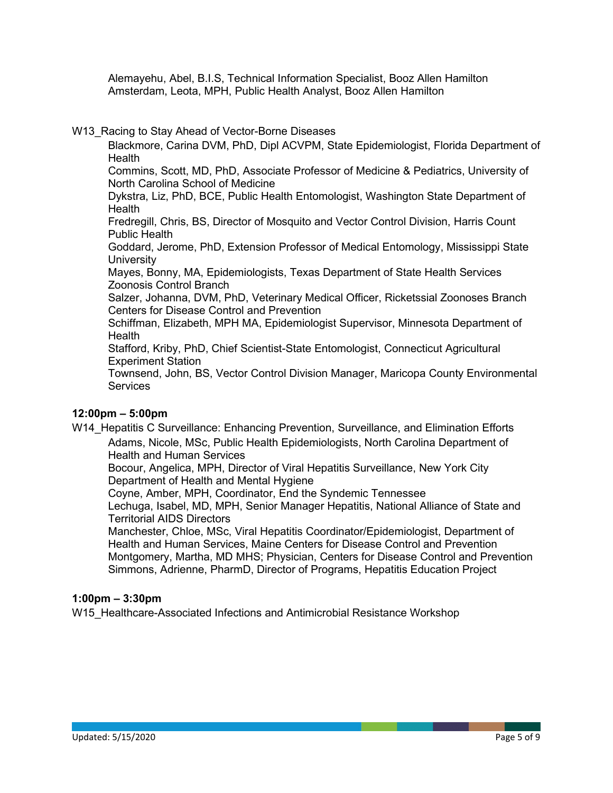Alemayehu, Abel, B.I.S, Technical Information Specialist, Booz Allen Hamilton Amsterdam, Leota, MPH, Public Health Analyst, Booz Allen Hamilton

W13\_Racing to Stay Ahead of Vector-Borne Diseases

Blackmore, Carina DVM, PhD, Dipl ACVPM, State Epidemiologist, Florida Department of **Health** 

Commins, Scott, MD, PhD, Associate Professor of Medicine & Pediatrics, University of North Carolina School of Medicine

Dykstra, Liz, PhD, BCE, Public Health Entomologist, Washington State Department of **Health** 

Fredregill, Chris, BS, Director of Mosquito and Vector Control Division, Harris Count Public Health

Goddard, Jerome, PhD, Extension Professor of Medical Entomology, Mississippi State **University** 

Mayes, Bonny, MA, Epidemiologists, Texas Department of State Health Services Zoonosis Control Branch

Salzer, Johanna, DVM, PhD, Veterinary Medical Officer, Ricketssial Zoonoses Branch Centers for Disease Control and Prevention

Schiffman, Elizabeth, MPH MA, Epidemiologist Supervisor, Minnesota Department of **Health** 

Stafford, Kriby, PhD, Chief Scientist-State Entomologist, Connecticut Agricultural Experiment Station

Townsend, John, BS, Vector Control Division Manager, Maricopa County Environmental **Services** 

#### **12:00pm – 5:00pm**

W14 Hepatitis C Surveillance: Enhancing Prevention, Surveillance, and Elimination Efforts Adams, Nicole, MSc, Public Health Epidemiologists, North Carolina Department of

Health and Human Services

Bocour, Angelica, MPH, Director of Viral Hepatitis Surveillance, New York City Department of Health and Mental Hygiene

Coyne, Amber, MPH, Coordinator, End the Syndemic Tennessee

Lechuga, Isabel, MD, MPH, Senior Manager Hepatitis, National Alliance of State and Territorial AIDS Directors

Manchester, Chloe, MSc, Viral Hepatitis Coordinator/Epidemiologist, Department of Health and Human Services, Maine Centers for Disease Control and Prevention Montgomery, Martha, MD MHS; Physician, Centers for Disease Control and Prevention Simmons, Adrienne, PharmD, Director of Programs, Hepatitis Education Project

#### **1:00pm – 3:30pm**

W15 Healthcare-Associated Infections and Antimicrobial Resistance Workshop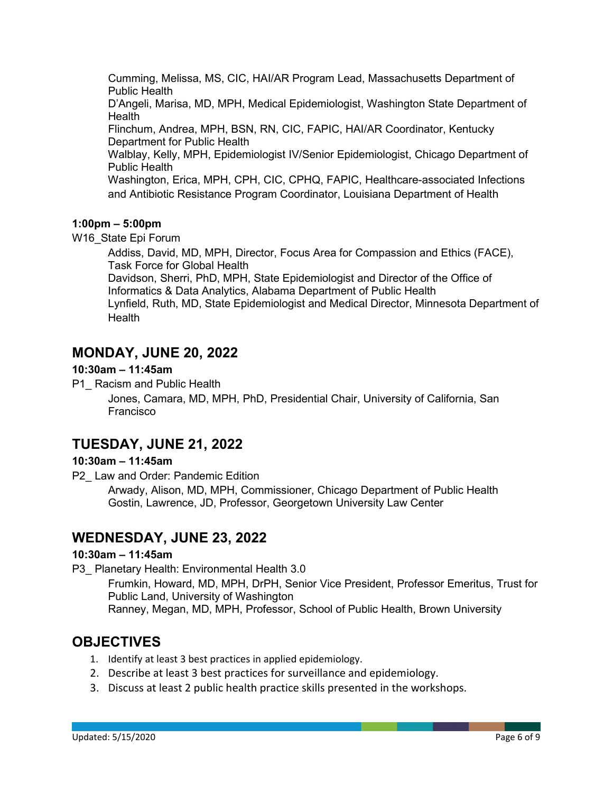Cumming, Melissa, MS, CIC, HAI/AR Program Lead, Massachusetts Department of Public Health

D'Angeli, Marisa, MD, MPH, Medical Epidemiologist, Washington State Department of **Health** 

Flinchum, Andrea, MPH, BSN, RN, CIC, FAPIC, HAI/AR Coordinator, Kentucky Department for Public Health

Walblay, Kelly, MPH, Epidemiologist IV/Senior Epidemiologist, Chicago Department of Public Health

Washington, Erica, MPH, CPH, CIC, CPHQ, FAPIC, Healthcare-associated Infections and Antibiotic Resistance Program Coordinator, Louisiana Department of Health

#### **1:00pm – 5:00pm**

W<sub>16</sub> State Epi Forum

Addiss, David, MD, MPH, Director, Focus Area for Compassion and Ethics (FACE), Task Force for Global Health

Davidson, Sherri, PhD, MPH, State Epidemiologist and Director of the Office of Informatics & Data Analytics, Alabama Department of Public Health Lynfield, Ruth, MD, State Epidemiologist and Medical Director, Minnesota Department of Health

## **MONDAY, JUNE 20, 2022**

#### **10:30am – 11:45am**

P1 Racism and Public Health

Jones, Camara, MD, MPH, PhD, Presidential Chair, University of California, San Francisco

# **TUESDAY, JUNE 21, 2022**

### **10:30am – 11:45am**

P2 Law and Order: Pandemic Edition

Arwady, Alison, MD, MPH, Commissioner, Chicago Department of Public Health Gostin, Lawrence, JD, Professor, Georgetown University Law Center

### **WEDNESDAY, JUNE 23, 2022**

#### **10:30am – 11:45am**

P3 Planetary Health: Environmental Health 3.0

Frumkin, Howard, MD, MPH, DrPH, Senior Vice President, Professor Emeritus, Trust for Public Land, University of Washington Ranney, Megan, MD, MPH, Professor, School of Public Health, Brown University

# **OBJECTIVES**

- 1. Identify at least 3 best practices in applied epidemiology.
- 2. Describe at least 3 best practices for surveillance and epidemiology.
- 3. Discuss at least 2 public health practice skills presented in the workshops.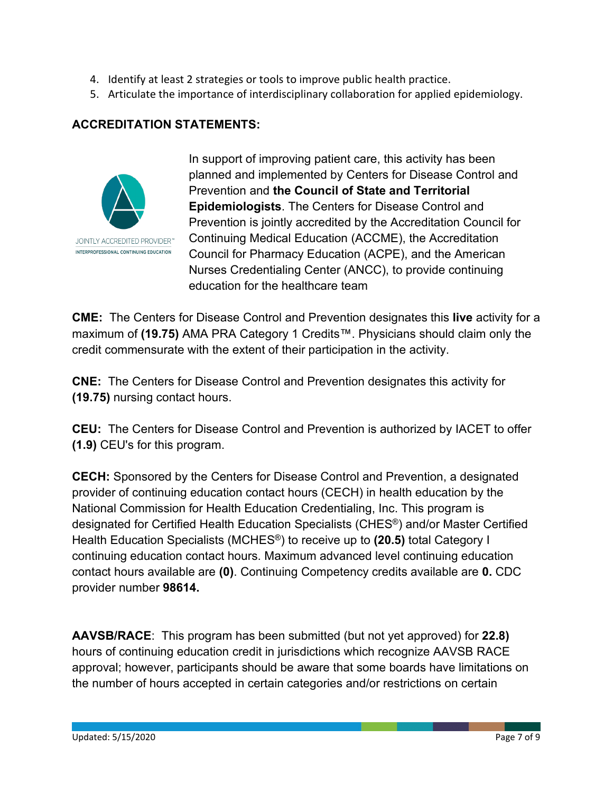- 4. Identify at least 2 strategies or tools to improve public health practice.
- 5. Articulate the importance of interdisciplinary collaboration for applied epidemiology.

### **ACCREDITATION STATEMENTS:**



In support of improving patient care, this activity has been planned and implemented by Centers for Disease Control and Prevention and **the Council of State and Territorial Epidemiologists**. The Centers for Disease Control and Prevention is jointly accredited by the Accreditation Council for Continuing Medical Education (ACCME), the Accreditation Council for Pharmacy Education (ACPE), and the American Nurses Credentialing Center (ANCC), to provide continuing education for the healthcare team

**CME:** The Centers for Disease Control and Prevention designates this **live** activity for a maximum of **(19.75)** AMA PRA Category 1 Credits™. Physicians should claim only the credit commensurate with the extent of their participation in the activity.

**CNE:** The Centers for Disease Control and Prevention designates this activity for **(19.75)** nursing contact hours.

**CEU:** The Centers for Disease Control and Prevention is authorized by IACET to offer **(1.9)** CEU's for this program.

**CECH:** Sponsored by the Centers for Disease Control and Prevention, a designated provider of continuing education contact hours (CECH) in health education by the National Commission for Health Education Credentialing, Inc. This program is designated for Certified Health Education Specialists (CHES®) and/or Master Certified Health Education Specialists (MCHES®) to receive up to **(20.5)** total Category I continuing education contact hours. Maximum advanced level continuing education contact hours available are **(0)**. Continuing Competency credits available are **0.** CDC provider number **98614.**

**AAVSB/RACE**: This program has been submitted (but not yet approved) for **22.8)** hours of continuing education credit in jurisdictions which recognize AAVSB RACE approval; however, participants should be aware that some boards have limitations on the number of hours accepted in certain categories and/or restrictions on certain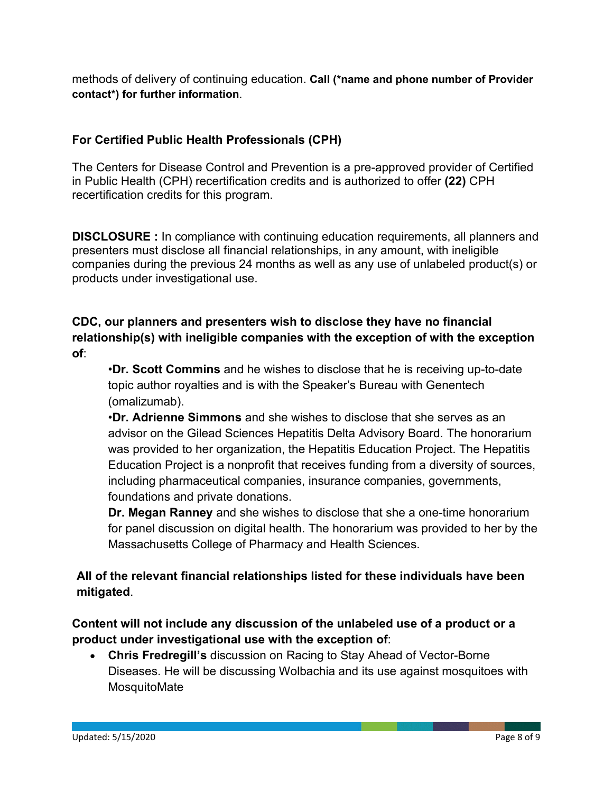methods of delivery of continuing education. **Call (\*name and phone number of Provider contact\*) for further information**.

## **For Certified Public Health Professionals (CPH)**

The Centers for Disease Control and Prevention is a pre-approved provider of Certified in Public Health (CPH) recertification credits and is authorized to offer **(22)** CPH recertification credits for this program.

**DISCLOSURE :** In compliance with continuing education requirements, all planners and presenters must disclose all financial relationships, in any amount, with ineligible companies during the previous 24 months as well as any use of unlabeled product(s) or products under investigational use.

## **CDC, our planners and presenters wish to disclose they have no financial relationship(s) with ineligible companies with the exception of with the exception of**:

•**Dr. Scott Commins** and he wishes to disclose that he is receiving up-to-date topic author royalties and is with the Speaker's Bureau with Genentech (omalizumab).

•**Dr. Adrienne Simmons** and she wishes to disclose that she serves as an advisor on the Gilead Sciences Hepatitis Delta Advisory Board. The honorarium was provided to her organization, the Hepatitis Education Project. The Hepatitis Education Project is a nonprofit that receives funding from a diversity of sources, including pharmaceutical companies, insurance companies, governments, foundations and private donations.

**Dr. Megan Ranney** and she wishes to disclose that she a one-time honorarium for panel discussion on digital health. The honorarium was provided to her by the Massachusetts College of Pharmacy and Health Sciences.

## **All of the relevant financial relationships listed for these individuals have been mitigated**.

## **Content will not include any discussion of the unlabeled use of a product or a product under investigational use with the exception of**:

• **Chris Fredregill's** discussion on Racing to Stay Ahead of Vector-Borne Diseases. He will be discussing Wolbachia and its use against mosquitoes with **MosquitoMate**